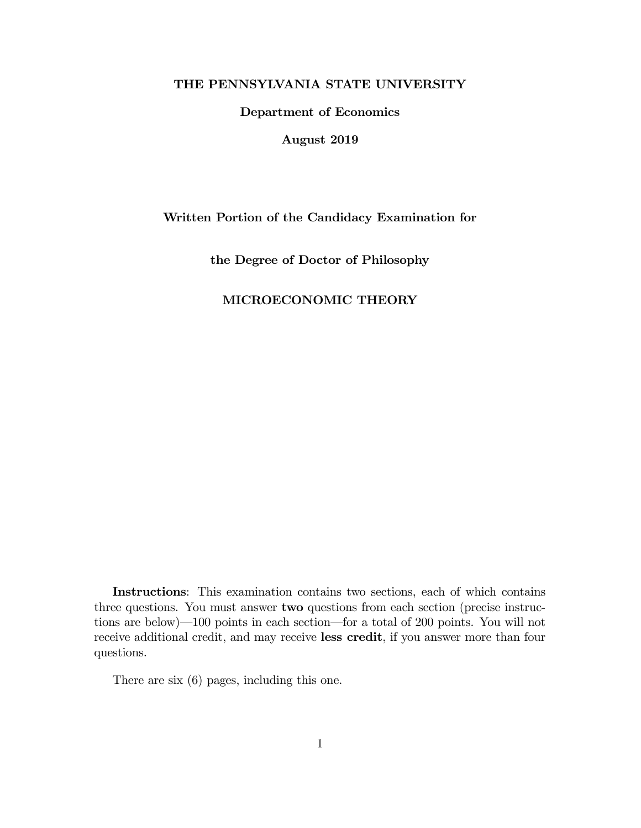### THE PENNSYLVANIA STATE UNIVERSITY

Department of Economics

August 2019

# Written Portion of the Candidacy Examination for

the Degree of Doctor of Philosophy

# MICROECONOMIC THEORY

Instructions: This examination contains two sections, each of which contains three questions. You must answer **two** questions from each section (precise instructions are below) $-100$  points in each section—for a total of 200 points. You will not receive additional credit, and may receive less credit, if you answer more than four questions.

There are six (6) pages, including this one.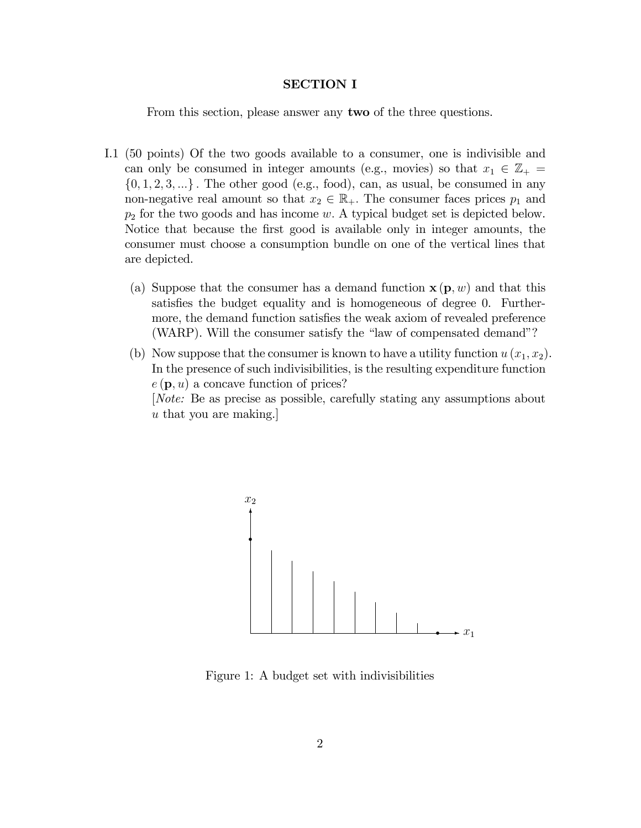### SECTION I

From this section, please answer any two of the three questions.

- I.1 (50 points) Of the two goods available to a consumer, one is indivisible and can only be consumed in integer amounts (e.g., movies) so that  $x_1 \in \mathbb{Z}_+$  $\{0, 1, 2, 3, ...\}$ . The other good (e.g., food), can, as usual, be consumed in any non-negative real amount so that  $x_2 \in \mathbb{R}_+$ . The consumer faces prices  $p_1$  and  $p_2$  for the two goods and has income w. A typical budget set is depicted below. Notice that because the first good is available only in integer amounts, the consumer must choose a consumption bundle on one of the vertical lines that are depicted.
	- (a) Suppose that the consumer has a demand function  $\mathbf{x}(\mathbf{p}, w)$  and that this satisfies the budget equality and is homogeneous of degree 0. Furthermore, the demand function satisfies the weak axiom of revealed preference (WARP). Will the consumer satisfy the "law of compensated demand"?
	- (b) Now suppose that the consumer is known to have a utility function  $u(x_1, x_2)$ . In the presence of such indivisibilities, is the resulting expenditure function  $e(\mathbf{p}, u)$  a concave function of prices? [Note: Be as precise as possible, carefully stating any assumptions about u that you are making.]



Figure 1: A budget set with indivisibilities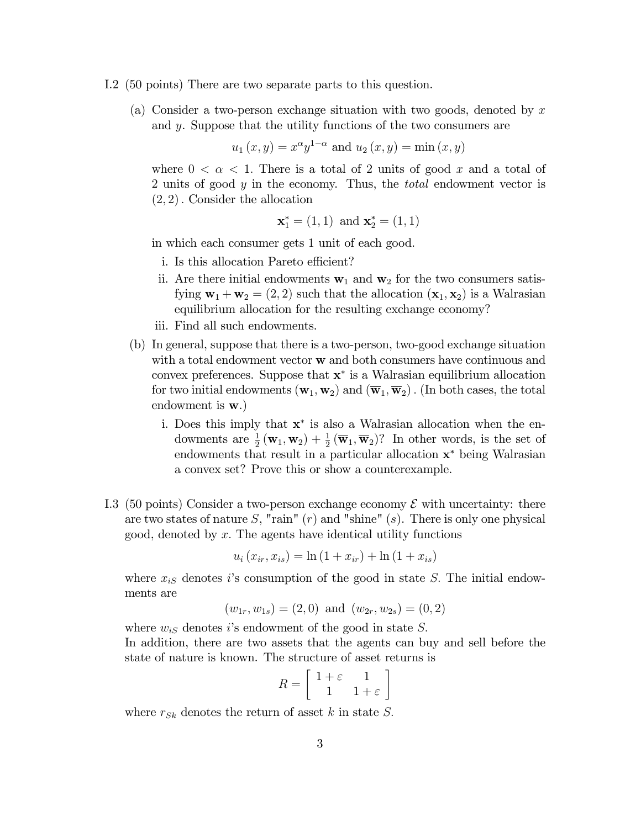- I.2 (50 points) There are two separate parts to this question.
	- (a) Consider a two-person exchange situation with two goods, denoted by  $x$ and y. Suppose that the utility functions of the two consumers are

$$
u_1(x, y) = x^{\alpha}y^{1-\alpha}
$$
 and  $u_2(x, y) = \min(x, y)$ 

where  $0 < \alpha < 1$ . There is a total of 2 units of good x and a total of 2 units of good y in the economy. Thus, the *total* endowment vector is  $(2, 2)$ . Consider the allocation

$$
\mathbf{x}_1^* = (1, 1)
$$
 and  $\mathbf{x}_2^* = (1, 1)$ 

in which each consumer gets 1 unit of each good.

- i. Is this allocation Pareto efficient?
- ii. Are there initial endowments  $w_1$  and  $w_2$  for the two consumers satisfying  $\mathbf{w}_1 + \mathbf{w}_2 = (2, 2)$  such that the allocation  $(\mathbf{x}_1, \mathbf{x}_2)$  is a Walrasian equilibrium allocation for the resulting exchange economy?
- iii. Find all such endowments.
- (b) In general, suppose that there is a two-person, two-good exchange situation with a total endowment vector **w** and both consumers have continuous and convex preferences. Suppose that  $x^*$  is a Walrasian equilibrium allocation for two initial endowments  $(\mathbf{w}_1, \mathbf{w}_2)$  and  $(\overline{\mathbf{w}}_1, \overline{\mathbf{w}}_2)$ . (In both cases, the total endowment is w.)
	- i. Does this imply that  $x^*$  is also a Walrasian allocation when the endowments are  $\frac{1}{2}(\mathbf{w}_1, \mathbf{w}_2) + \frac{1}{2}(\overline{\mathbf{w}}_1, \overline{\mathbf{w}}_2)$ ? In other words, is the set of endowments that result in a particular allocation  $x^*$  being Walrasian a convex set? Prove this or show a counterexample.
- I.3 (50 points) Consider a two-person exchange economy  $\mathcal E$  with uncertainty: there are two states of nature S, "rain"  $(r)$  and "shine"  $(s)$ . There is only one physical good, denoted by  $x$ . The agents have identical utility functions

$$
u_i(x_{ir}, x_{is}) = \ln(1 + x_{ir}) + \ln(1 + x_{is})
$$

where  $x_{iS}$  denotes is consumption of the good in state S. The initial endowments are

$$
(w_{1r}, w_{1s}) = (2,0)
$$
 and  $(w_{2r}, w_{2s}) = (0,2)$ 

where  $w_{iS}$  denotes is endowment of the good in state S.

In addition, there are two assets that the agents can buy and sell before the state of nature is known. The structure of asset returns is

$$
R = \left[ \begin{array}{cc} 1 + \varepsilon & 1 \\ 1 & 1 + \varepsilon \end{array} \right]
$$

where  $r_{Sk}$  denotes the return of asset k in state S.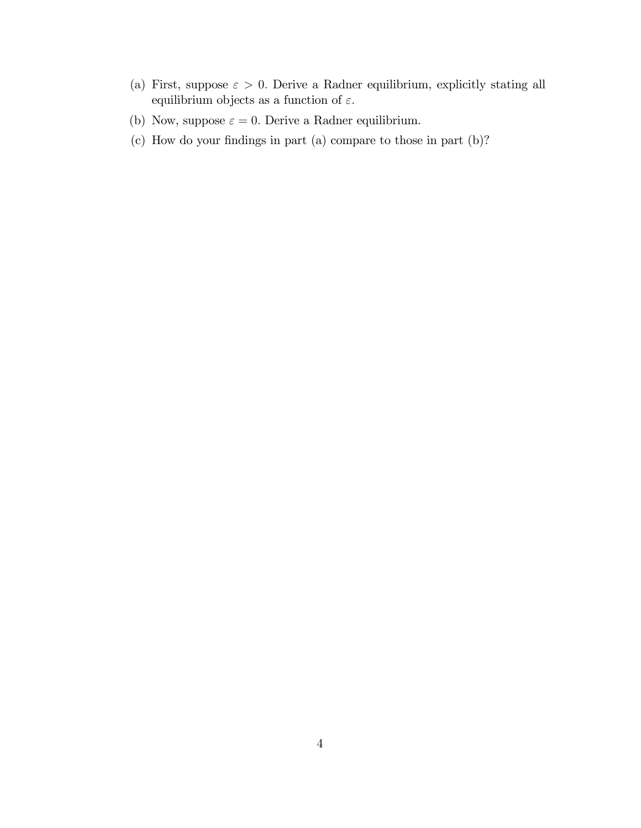- (a) First, suppose  $\varepsilon > 0$ . Derive a Radner equilibrium, explicitly stating all equilibrium objects as a function of  $\varepsilon.$
- (b) Now, suppose  $\varepsilon = 0$ . Derive a Radner equilibrium.
- $(c)$  How do your findings in part  $(a)$  compare to those in part  $(b)$ ?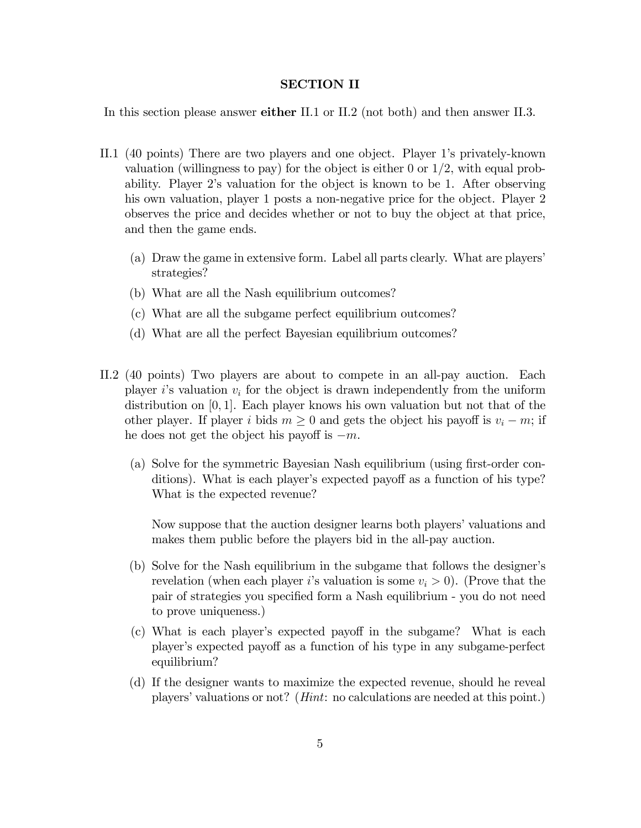### SECTION II

In this section please answer either II.1 or II.2 (not both) and then answer II.3.

- II.1 (40 points) There are two players and one object. Player 1ís privately-known valuation (willingness to pay) for the object is either 0 or  $1/2$ , with equal probability. Player 2ís valuation for the object is known to be 1. After observing his own valuation, player 1 posts a non-negative price for the object. Player 2 observes the price and decides whether or not to buy the object at that price, and then the game ends.
	- (a) Draw the game in extensive form. Label all parts clearly. What are playersí strategies?
	- (b) What are all the Nash equilibrium outcomes?
	- (c) What are all the subgame perfect equilibrium outcomes?
	- (d) What are all the perfect Bayesian equilibrium outcomes?
- II.2 (40 points) Two players are about to compete in an all-pay auction. Each player is valuation  $v_i$  for the object is drawn independently from the uniform distribution on  $[0, 1]$ . Each player knows his own valuation but not that of the other player. If player i bids  $m \geq 0$  and gets the object his payoff is  $v_i - m$ ; if he does not get the object his payoff is  $-m$ .
	- (a) Solve for the symmetric Bayesian Nash equilibrium (using first-order conditions). What is each player's expected payoff as a function of his type? What is the expected revenue?

Now suppose that the auction designer learns both players' valuations and makes them public before the players bid in the all-pay auction.

- (b) Solve for the Nash equilibrium in the subgame that follows the designerís revelation (when each player i's valuation is some  $v_i > 0$ ). (Prove that the pair of strategies you specified form a Nash equilibrium - you do not need to prove uniqueness.)
- (c) What is each player's expected payoff in the subgame? What is each player's expected payoff as a function of his type in any subgame-perfect equilibrium?
- (d) If the designer wants to maximize the expected revenue, should he reveal players' valuations or not? ( $Hint:$  no calculations are needed at this point.)